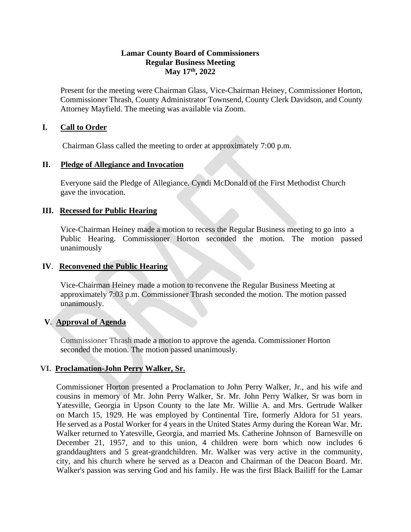#### **Lamar County Board of Commissioners Regular Business Meeting May 17 th, 2022**

Present for the meeting were Chairman Glass, Vice-Chairman Heiney, Commissioner Horton, Commissioner Thrash, County Administrator Townsend, County Clerk Davidson, and County Attorney Mayfield. The meeting was available via Zoom.

## **I. Call to Order**

Chairman Glass called the meeting to order at approximately 7:00 p.m.

#### **II. Pledge of Allegiance and Invocation**

Everyone said the Pledge of Allegiance. Cyndi McDonald of the First Methodist Church gave the invocation.

#### **III. Recessed for Public Hearing**

Vice-Chairman Heiney made a motion to recess the Regular Business meeting to go into a Public Hearing. Commissioner Horton seconded the motion. The motion passed unanimously

#### **IV**. **Reconvened the Public Hearing**

 Vice-Chairman Heiney made a motion to reconvene the Regular Business Meeting at approximately 7:03 p.m. Commissioner Thrash seconded the motion. The motion passed unanimously.

#### **V**. **Approval of Agenda**

Commissioner Thrash made a motion to approve the agenda. Commissioner Horton seconded the motion. The motion passed unanimously.

## **VI. Proclamation-John Perry Walker, Sr.**

Commissioner Horton presented a Proclamation to John Perry Walker, Jr., and his wife and cousins in memory of Mr. John Perry Walker, Sr. Mr. John Perry Walker, Sr was born in Yatesville, Georgia in Upson County to the late Mr. Willie A. and Mrs. Gertrude Walker on March 15, 1929. He was employed by Continental Tire, formerly Aldora for 51 years. He served as a Postal Worker for 4 years in the United States Army during the Korean War. Mr. Walker returned to Yatesville, Georgia, and married Ms. Catherine Johnson of Barnesville on December 21, 1957, and to this union, 4 children were born which now includes 6 granddaughters and 5 great-grandchildren. Mr. Walker was very active in the community, city, and his church where he served as a Deacon and Chairman of the Deacon Board. Mr. Walker's passion was serving God and his family. He was the first Black Bailiff for the Lamar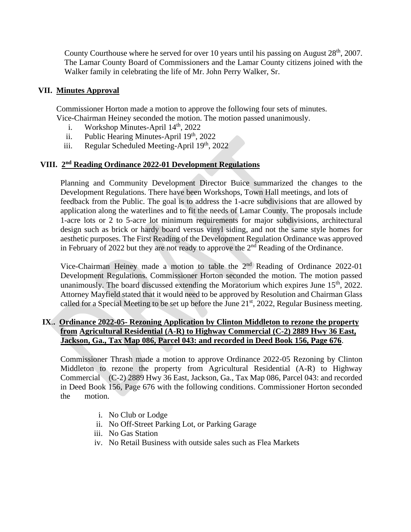County Courthouse where he served for over 10 years until his passing on August  $28<sup>th</sup>$ , 2007. The Lamar County Board of Commissioners and the Lamar County citizens joined with the Walker family in celebrating the life of Mr. John Perry Walker, Sr.

## **VII. Minutes Approval**

 Commissioner Horton made a motion to approve the following four sets of minutes. Vice-Chairman Heiney seconded the motion. The motion passed unanimously.

- i. Workshop Minutes-April  $14<sup>th</sup>$ , 2022
- ii. Public Hearing Minutes-April 19<sup>th</sup>, 2022
- iii. Regular Scheduled Meeting-April  $19<sup>th</sup>$ , 2022

## **VIII. 2 nd Reading Ordinance 2022-01 Development Regulations**

Planning and Community Development Director Buice summarized the changes to the Development Regulations. There have been Workshops, Town Hall meetings, and lots of feedback from the Public. The goal is to address the 1-acre subdivisions that are allowed by application along the waterlines and to fit the needs of Lamar County. The proposals include 1-acre lots or 2 to 5-acre lot minimum requirements for major subdivisions, architectural design such as brick or hardy board versus vinyl siding, and not the same style homes for aesthetic purposes. The First Reading of the Development Regulation Ordinance was approved in February of 2022 but they are not ready to approve the  $2<sup>nd</sup>$  Reading of the Ordinance.

Vice-Chairman Heiney made a motion to table the 2<sup>nd</sup> Reading of Ordinance 2022-01 Development Regulations. Commissioner Horton seconded the motion. The motion passed unanimously. The board discussed extending the Moratorium which expires June  $15<sup>th</sup>$ , 2022. Attorney Mayfield stated that it would need to be approved by Resolution and Chairman Glass called for a Special Meeting to be set up before the June  $21<sup>st</sup>$ , 2022, Regular Business meeting.

## **IX**.**. Ordinance 2022-05- Rezoning Application by Clinton Middleton to rezone the property from Agricultural Residential (A-R) to Highway Commercial (C-2) 2889 Hwy 36 East, Jackson, Ga., Tax Map 086, Parcel 043: and recorded in Deed Book 156, Page 676**.

Commissioner Thrash made a motion to approve Ordinance 2022-05 Rezoning by Clinton Middleton to rezone the property from Agricultural Residential (A-R) to Highway Commercial (C-2) 2889 Hwy 36 East, Jackson, Ga., Tax Map 086, Parcel 043: and recorded in Deed Book 156, Page 676 with the following conditions. Commissioner Horton seconded the motion.

- i. No Club or Lodge
- ii. No Off-Street Parking Lot, or Parking Garage
- iii. No Gas Station
- iv. No Retail Business with outside sales such as Flea Markets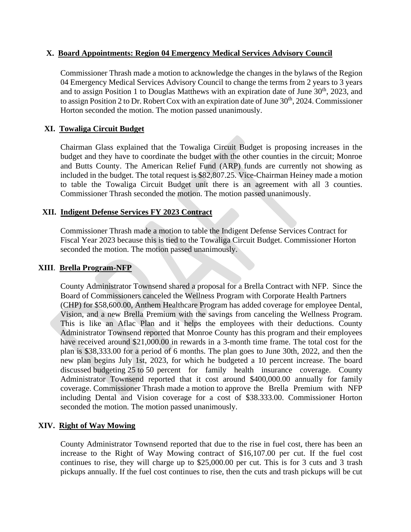#### **X. Board Appointments: Region 04 Emergency Medical Services Advisory Council**

Commissioner Thrash made a motion to acknowledge the changes in the bylaws of the Region 04 Emergency Medical Services Advisory Council to change the terms from 2 years to 3 years and to assign Position 1 to Douglas Matthews with an expiration date of June  $30<sup>th</sup>$ , 2023, and to assign Position 2 to Dr. Robert Cox with an expiration date of June  $30<sup>th</sup>$ , 2024. Commissioner Horton seconded the motion. The motion passed unanimously.

## **XI. Towaliga Circuit Budget**

Chairman Glass explained that the Towaliga Circuit Budget is proposing increases in the budget and they have to coordinate the budget with the other counties in the circuit; Monroe and Butts County. The American Relief Fund (ARP) funds are currently not showing as included in the budget. The total request is \$82,807.25. Vice-Chairman Heiney made a motion to table the Towaliga Circuit Budget unit there is an agreement with all 3 counties. Commissioner Thrash seconded the motion. The motion passed unanimously.

#### **XII. Indigent Defense Services FY 2023 Contract**

 Commissioner Thrash made a motion to table the Indigent Defense Services Contract for Fiscal Year 2023 because this is tied to the Towaliga Circuit Budget. Commissioner Horton seconded the motion. The motion passed unanimously.

## **XIII**. **Brella Program-NFP**

County Administrator Townsend shared a proposal for a Brella Contract with NFP. Since the Board of Commissioners canceled the Wellness Program with Corporate Health Partners (CHP) for \$58,600.00, Anthem Healthcare Program has added coverage for employee Dental, Vision, and a new Brella Premium with the savings from canceling the Wellness Program. This is like an Aflac Plan and it helps the employees with their deductions. County Administrator Townsend reported that Monroe County has this program and their employees have received around \$21,000.00 in rewards in a 3-month time frame. The total cost for the plan is \$38,333.00 for a period of 6 months. The plan goes to June 30th, 2022, and then the new plan begins July 1st, 2023, for which he budgeted a 10 percent increase. The board discussed budgeting 25 to 50 percent for family health insurance coverage. County Administrator Townsend reported that it cost around \$400,000.00 annually for family coverage. Commissioner Thrash made a motion to approve the Brella Premium with NFP including Dental and Vision coverage for a cost of \$38.333.00. Commissioner Horton seconded the motion. The motion passed unanimously.

## **XIV. Right of Way Mowing**

County Administrator Townsend reported that due to the rise in fuel cost, there has been an increase to the Right of Way Mowing contract of \$16,107.00 per cut. If the fuel cost continues to rise, they will charge up to \$25,000.00 per cut. This is for 3 cuts and 3 trash pickups annually. If the fuel cost continues to rise, then the cuts and trash pickups will be cut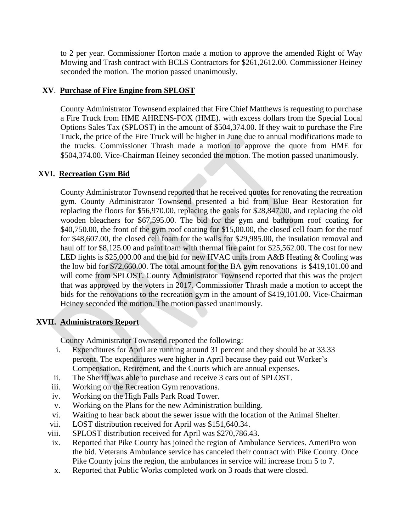to 2 per year. Commissioner Horton made a motion to approve the amended Right of Way Mowing and Trash contract with BCLS Contractors for \$261,2612.00. Commissioner Heiney seconded the motion. The motion passed unanimously.

# **XV**. **Purchase of Fire Engine from SPLOST**

County Administrator Townsend explained that Fire Chief Matthews is requesting to purchase a Fire Truck from HME AHRENS-FOX (HME). with excess dollars from the Special Local Options Sales Tax (SPLOST) in the amount of \$504,374.00. If they wait to purchase the Fire Truck, the price of the Fire Truck will be higher in June due to annual modifications made to the trucks. Commissioner Thrash made a motion to approve the quote from HME for \$504,374.00. Vice-Chairman Heiney seconded the motion. The motion passed unanimously.

# **XVI. Recreation Gym Bid**

County Administrator Townsend reported that he received quotes for renovating the recreation gym. County Administrator Townsend presented a bid from Blue Bear Restoration for replacing the floors for \$56,970.00, replacing the goals for \$28,847.00, and replacing the old wooden bleachers for \$67,595.00. The bid for the gym and bathroom roof coating for \$40,750.00, the front of the gym roof coating for \$15,00.00, the closed cell foam for the roof for \$48,607.00, the closed cell foam for the walls for \$29,985.00, the insulation removal and haul off for \$8,125.00 and paint foam with thermal fire paint for \$25,562.00. The cost for new LED lights is \$25,000.00 and the bid for new HVAC units from A&B Heating & Cooling was the low bid for \$72,660.00. The total amount for the BA gym renovations is \$419,101.00 and will come from SPLOST. County Administrator Townsend reported that this was the project that was approved by the voters in 2017. Commissioner Thrash made a motion to accept the bids for the renovations to the recreation gym in the amount of \$419,101.00. Vice-Chairman Heiney seconded the motion. The motion passed unanimously.

# **XVII. Administrators Report**

County Administrator Townsend reported the following:

- i. Expenditures for April are running around 31 percent and they should be at 33.33 percent. The expenditures were higher in April because they paid out Worker's Compensation, Retirement, and the Courts which are annual expenses.
- ii. The Sheriff was able to purchase and receive 3 cars out of SPLOST.
- iii. Working on the Recreation Gym renovations.
- iv. Working on the High Falls Park Road Tower.
- v. Working on the Plans for the new Administration building.
- vi. Waiting to hear back about the sewer issue with the location of the Animal Shelter.
- vii. LOST distribution received for April was \$151,640.34.
- viii. SPLOST distribution received for April was \$270,786.43.
- ix. Reported that Pike County has joined the region of Ambulance Services. AmeriPro won the bid. Veterans Ambulance service has canceled their contract with Pike County. Once Pike County joins the region, the ambulances in service will increase from 5 to 7.
- x. Reported that Public Works completed work on 3 roads that were closed.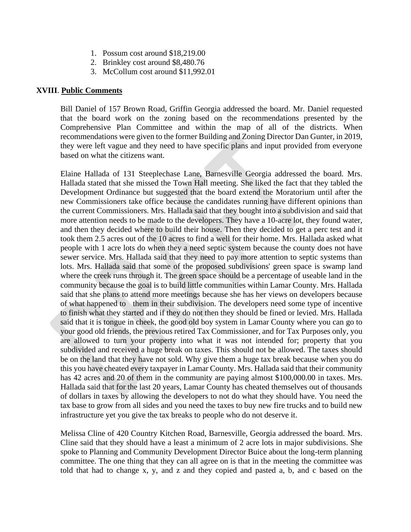- 1. Possum cost around \$18,219.00
- 2. Brinkley cost around \$8,480.76
- 3. McCollum cost around \$11,992.01

#### **XVIII**. **Public Comments**

 Bill Daniel of 157 Brown Road, Griffin Georgia addressed the board. Mr. Daniel requested that the board work on the zoning based on the recommendations presented by the Comprehensive Plan Committee and within the map of all of the districts. When recommendations were given to the former Building and Zoning Director Dan Gunter, in 2019, they were left vague and they need to have specific plans and input provided from everyone based on what the citizens want.

Elaine Hallada of 131 Steeplechase Lane, Barnesville Georgia addressed the board. Mrs. Hallada stated that she missed the Town Hall meeting. She liked the fact that they tabled the Development Ordinance but suggested that the board extend the Moratorium until after the new Commissioners take office because the candidates running have different opinions than the current Commissioners. Mrs. Hallada said that they bought into a subdivision and said that more attention needs to be made to the developers. They have a 10-acre lot, they found water, and then they decided where to build their house. Then they decided to get a perc test and it took them 2.5 acres out of the 10 acres to find a well for their home. Mrs. Hallada asked what people with 1 acre lots do when they a need septic system because the county does not have sewer service. Mrs. Hallada said that they need to pay more attention to septic systems than lots. Mrs. Hallada said that some of the proposed subdivisions' green space is swamp land where the creek runs through it. The green space should be a percentage of useable land in the community because the goal is to build little communities within Lamar County. Mrs. Hallada said that she plans to attend more meetings because she has her views on developers because of what happened to them in their subdivision. The developers need some type of incentive to finish what they started and if they do not then they should be fined or levied. Mrs. Hallada said that it is tongue in cheek, the good old boy system in Lamar County where you can go to your good old friends, the previous retired Tax Commissioner, and for Tax Purposes only, you are allowed to turn your property into what it was not intended for; property that you subdivided and received a huge break on taxes. This should not be allowed. The taxes should be on the land that they have not sold. Why give them a huge tax break because when you do this you have cheated every taxpayer in Lamar County. Mrs. Hallada said that their community has 42 acres and 20 of them in the community are paying almost \$100,000.00 in taxes. Mrs. Hallada said that for the last 20 years, Lamar County has cheated themselves out of thousands of dollars in taxes by allowing the developers to not do what they should have. You need the tax base to grow from all sides and you need the taxes to buy new fire trucks and to build new infrastructure yet you give the tax breaks to people who do not deserve it.

Melissa Cline of 420 Country Kitchen Road, Barnesville, Georgia addressed the board. Mrs. Cline said that they should have a least a minimum of 2 acre lots in major subdivisions. She spoke to Planning and Community Development Director Buice about the long-term planning committee. The one thing that they can all agree on is that in the meeting the committee was told that had to change x, y, and z and they copied and pasted a, b, and c based on the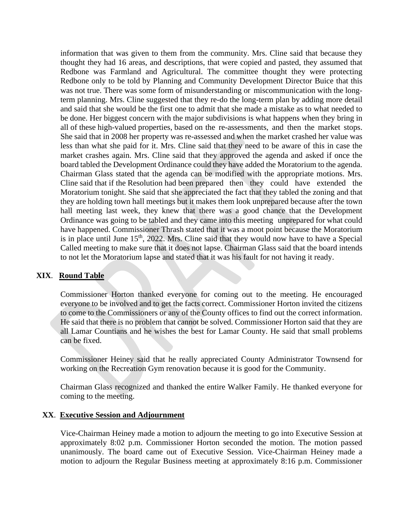information that was given to them from the community. Mrs. Cline said that because they thought they had 16 areas, and descriptions, that were copied and pasted, they assumed that Redbone was Farmland and Agricultural. The committee thought they were protecting Redbone only to be told by Planning and Community Development Director Buice that this was not true. There was some form of misunderstanding or miscommunication with the longterm planning. Mrs. Cline suggested that they re-do the long-term plan by adding more detail and said that she would be the first one to admit that she made a mistake as to what needed to be done. Her biggest concern with the major subdivisions is what happens when they bring in all of these high-valued properties, based on the re-assessments, and then the market stops. She said that in 2008 her property was re-assessed and when the market crashed her value was less than what she paid for it. Mrs. Cline said that they need to be aware of this in case the market crashes again. Mrs. Cline said that they approved the agenda and asked if once the board tabled the Development Ordinance could they have added the Moratorium to the agenda. Chairman Glass stated that the agenda can be modified with the appropriate motions. Mrs. Cline said that if the Resolution had been prepared then they could have extended the Moratorium tonight. She said that she appreciated the fact that they tabled the zoning and that they are holding town hall meetings but it makes them look unprepared because after the town hall meeting last week, they knew that there was a good chance that the Development Ordinance was going to be tabled and they came into this meeting unprepared for what could have happened. Commissioner Thrash stated that it was a moot point because the Moratorium is in place until June  $15<sup>th</sup>$ , 2022. Mrs. Cline said that they would now have to have a Special Called meeting to make sure that it does not lapse. Chairman Glass said that the board intends to not let the Moratorium lapse and stated that it was his fault for not having it ready.

#### **XIX**. **Round Table**

 Commissioner Horton thanked everyone for coming out to the meeting. He encouraged everyone to be involved and to get the facts correct. Commissioner Horton invited the citizens to come to the Commissioners or any of the County offices to find out the correct information. He said that there is no problem that cannot be solved. Commissioner Horton said that they are all Lamar Countians and he wishes the best for Lamar County. He said that small problems can be fixed.

Commissioner Heiney said that he really appreciated County Administrator Townsend for working on the Recreation Gym renovation because it is good for the Community.

Chairman Glass recognized and thanked the entire Walker Family. He thanked everyone for coming to the meeting.

#### **XX**. **Executive Session and Adjournment**

Vice-Chairman Heiney made a motion to adjourn the meeting to go into Executive Session at approximately 8:02 p.m. Commissioner Horton seconded the motion. The motion passed unanimously. The board came out of Executive Session. Vice-Chairman Heiney made a motion to adjourn the Regular Business meeting at approximately 8:16 p.m. Commissioner